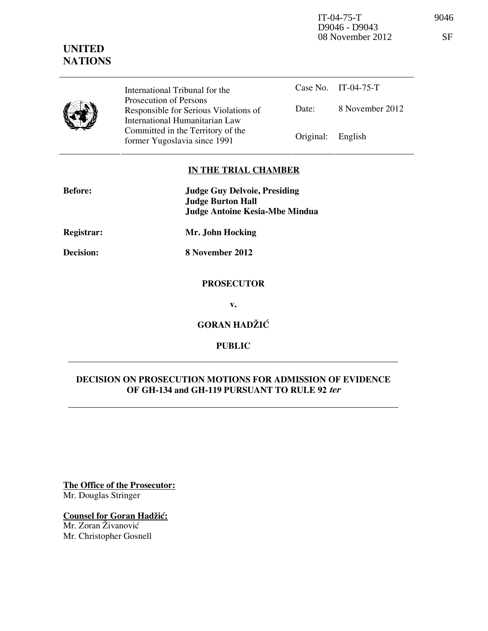IT-04-75-T 9046 D9046 - D9043 08 November 2012 SF

|  | International Tribunal for the                                                                    | Case No. $\Gamma$ 1 - 04 - 7. |         |
|--|---------------------------------------------------------------------------------------------------|-------------------------------|---------|
|  | Prosecution of Persons<br>Responsible for Serious Violations of<br>International Humanitarian Law | Date:                         | 8 Noven |
|  | Committed in the Territory of the<br>former Yugoslavia since 1991                                 | Original: English             |         |

|                   | Case No. IT-04-75-T |
|-------------------|---------------------|
| Date:             | 8 November 2012     |
| Original: English |                     |

#### **IN THE TRIAL CHAMBER**

| <b>Before:</b> | <b>Judge Guy Delvoie, Presiding</b><br><b>Judge Burton Hall</b> |  |  |
|----------------|-----------------------------------------------------------------|--|--|
|                | <b>Judge Antoine Kesia-Mbe Mindua</b>                           |  |  |
| Registrar:     | Mr. John Hocking                                                |  |  |
| Decision:      | 8 November 2012                                                 |  |  |
|                | <b>PROSECUTOR</b>                                               |  |  |
|                | v.                                                              |  |  |
|                | <b>GORAN HADŽIĆ</b>                                             |  |  |

# **PUBLIC**

### **DECISION ON PROSECUTION MOTIONS FOR ADMISSION OF EVIDENCE OF GH-134 and GH-119 PURSUANT TO RULE 92 ter**

**The Office of the Prosecutor:** Mr. Douglas Stringer

## **Counsel for Goran Hadžić:**

Mr. Zoran Živanović Mr. Christopher Gosnell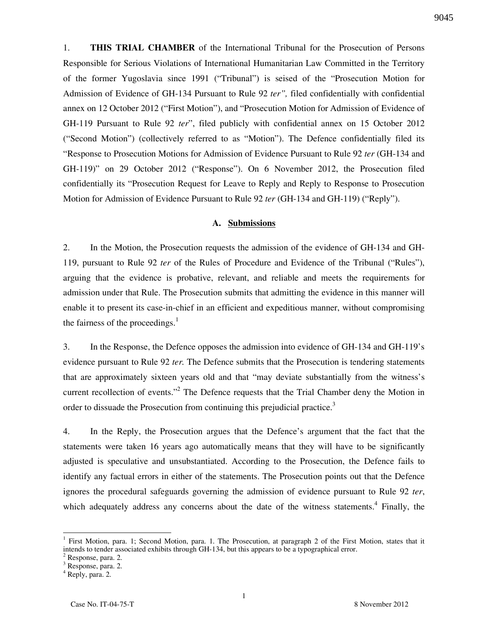1. **THIS TRIAL CHAMBER** of the International Tribunal for the Prosecution of Persons Responsible for Serious Violations of International Humanitarian Law Committed in the Territory of the former Yugoslavia since 1991 ("Tribunal") is seised of the "Prosecution Motion for Admission of Evidence of GH-134 Pursuant to Rule 92 *ter",* filed confidentially with confidential annex on 12 October 2012 ("First Motion"), and "Prosecution Motion for Admission of Evidence of GH-119 Pursuant to Rule 92 *ter*", filed publicly with confidential annex on 15 October 2012 ("Second Motion") (collectively referred to as "Motion"). The Defence confidentially filed its "Response to Prosecution Motions for Admission of Evidence Pursuant to Rule 92 *ter* (GH-134 and GH-119)" on 29 October 2012 ("Response"). On 6 November 2012, the Prosecution filed confidentially its "Prosecution Request for Leave to Reply and Reply to Response to Prosecution Motion for Admission of Evidence Pursuant to Rule 92 *ter* (GH-134 and GH-119) ("Reply").

#### **A. Submissions**

2. In the Motion, the Prosecution requests the admission of the evidence of GH-134 and GH-119, pursuant to Rule 92 *ter* of the Rules of Procedure and Evidence of the Tribunal ("Rules"), arguing that the evidence is probative, relevant, and reliable and meets the requirements for admission under that Rule. The Prosecution submits that admitting the evidence in this manner will enable it to present its case-in-chief in an efficient and expeditious manner, without compromising the fairness of the proceedings. $<sup>1</sup>$ </sup>

3. In the Response, the Defence opposes the admission into evidence of GH-134 and GH-119's evidence pursuant to Rule 92 *ter.* The Defence submits that the Prosecution is tendering statements that are approximately sixteen years old and that "may deviate substantially from the witness's current recollection of events."<sup>2</sup> The Defence requests that the Trial Chamber deny the Motion in order to dissuade the Prosecution from continuing this prejudicial practice.<sup>3</sup>

4. In the Reply, the Prosecution argues that the Defence's argument that the fact that the statements were taken 16 years ago automatically means that they will have to be significantly adjusted is speculative and unsubstantiated. According to the Prosecution, the Defence fails to identify any factual errors in either of the statements. The Prosecution points out that the Defence ignores the procedural safeguards governing the admission of evidence pursuant to Rule 92 *ter*, which adequately address any concerns about the date of the witness statements.<sup>4</sup> Finally, the

<sup>&</sup>lt;sup>1</sup> First Motion, para. 1; Second Motion, para. 1. The Prosecution, at paragraph 2 of the First Motion, states that it intends to tender associated exhibits through GH-134, but this appears to be a typographical error.

<sup>&</sup>lt;sup>2</sup> Response, para. 2.

<sup>&</sup>lt;sup>3</sup> Response, para. 2.

<sup>4</sup> Reply, para. 2.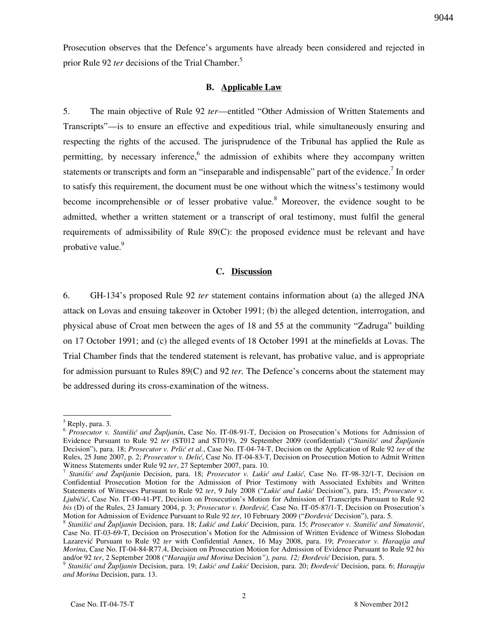Prosecution observes that the Defence's arguments have already been considered and rejected in prior Rule 92 *ter* decisions of the Trial Chamber.<sup>5</sup>

#### **B. Applicable Law**

5. The main objective of Rule 92 *ter*—entitled "Other Admission of Written Statements and Transcripts"—is to ensure an effective and expeditious trial, while simultaneously ensuring and respecting the rights of the accused. The jurisprudence of the Tribunal has applied the Rule as permitting, by necessary inference,<sup>6</sup> the admission of exhibits where they accompany written statements or transcripts and form an "inseparable and indispensable" part of the evidence.<sup>7</sup> In order to satisfy this requirement, the document must be one without which the witness's testimony would become incomprehensible or of lesser probative value.<sup>8</sup> Moreover, the evidence sought to be admitted, whether a written statement or a transcript of oral testimony, must fulfil the general requirements of admissibility of Rule 89(C): the proposed evidence must be relevant and have probative value.<sup>9</sup>

#### **C. Discussion**

6. GH-134's proposed Rule 92 *ter* statement contains information about (a) the alleged JNA attack on Lovas and ensuing takeover in October 1991; (b) the alleged detention, interrogation, and physical abuse of Croat men between the ages of 18 and 55 at the community "Zadruga" building on 17 October 1991; and (c) the alleged events of 18 October 1991 at the minefields at Lovas. The Trial Chamber finds that the tendered statement is relevant, has probative value, and is appropriate for admission pursuant to Rules 89(C) and 92 *ter.* The Defence's concerns about the statement may be addressed during its cross-examination of the witness.

 $\overline{a}$ 

<sup>&</sup>lt;sup>5</sup> Reply, para. 3.

<sup>6</sup> *Prosecutor v. Stanišić and Župljanin*, Case No. IT-08-91-T, Decision on Prosecution's Motions for Admission of Evidence Pursuant to Rule 92 *ter* (ST012 and ST019), 29 September 2009 (confidential) ("*Stanišić and Župljanin* Decision"), para. 18; *Prosecutor v. Prlić et al.*, Case No. IT-04-74-T, Decision on the Application of Rule 92 *ter* of the Rules, 25 June 2007, p. 2; *Prosecutor v. Delić*, Case No. IT-04-83-T, Decision on Prosecution Motion to Admit Written Witness Statements under Rule 92 *ter*, 27 September 2007, para. 10.

<sup>&</sup>lt;sup>7</sup> Stanišić and Župljanin Decision, para. 18; *Prosecutor v. Lukić and Lukić*, Case No. IT-98-32/1-T, Decision on Confidential Prosecution Motion for the Admission of Prior Testimony with Associated Exhibits and Written Statements of Witnesses Pursuant to Rule 92 ter, 9 July 2008 ("Lukić and Lukić Decision"), para. 15; *Prosecutor v. Ljubičić*, Case No. IT-00-41-PT, Decision on Prosecution's Motion for Admission of Transcripts Pursuant to Rule 92 *bis* (D) of the Rules, 23 January 2004, p. 3; *Prosecutor v. Đorđević*, Case No. IT-05-87/1-T, Decision on Prosecution's Motion for Admission of Evidence Pursuant to Rule 92 *ter*, 10 February 2009 ("*Dordević* Decision"), para. 5.

<sup>&</sup>lt;sup>8</sup> Stanišić and Župljanin Decision, para. 18; Lukić and Lukić Decision, para. 15; Prosecutor v. Stanišić and Simatović, Case No. IT-03-69-T, Decision on Prosecution's Motion for the Admission of Written Evidence of Witness Slobodan Lazarevi} Pursuant to Rule 92 *ter* with Confidential Annex, 16 May 2008, para. 19; *Prosecutor v. Haraqija and Morina*, Case No. IT-04-84-R77.4, Decision on Prosecution Motion for Admission of Evidence Pursuant to Rule 92 *bis* and/or 92 ter, 2 September 2008 ("Haraqija and Morina Decision"), para. 12; *Dorđević* Decision, para. 5.

<sup>&</sup>lt;sup>9</sup> Stanišić and Župljanin Decision, para. 19; Lukić and Lukić Decision, para. 20; *Đorđević* Decision, para. 6; Haraqija *and Morina* Decision, para. 13.